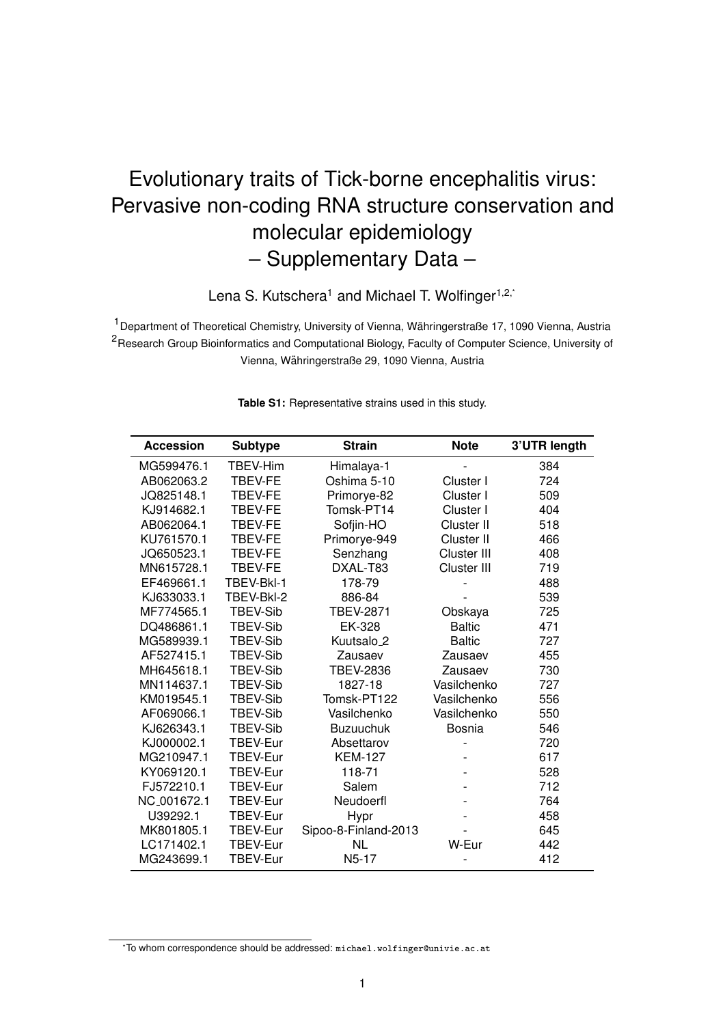## Evolutionary traits of Tick-borne encephalitis virus: Pervasive non-coding RNA structure conservation and molecular epidemiology – Supplementary Data –

Lena S. Kutschera<sup>1</sup> and Michael T. Wolfinger<sup>1,2,\*</sup>

<sup>1</sup> Department of Theoretical Chemistry, University of Vienna, Währingerstraße 17, 1090 Vienna, Austria <sup>2</sup>Research Group Bioinformatics and Computational Biology, Faculty of Computer Science, University of Vienna, Wahringerstraße 29, 1090 Vienna, Austria ¨

| <b>Accession</b> | <b>Subtype</b>  | <b>Strain</b>          | <b>Note</b>   | 3'UTR length |
|------------------|-----------------|------------------------|---------------|--------------|
| MG599476.1       | TBEV-Him        | Himalaya-1             |               | 384          |
| AB062063.2       | <b>TBEV-FE</b>  | Oshima 5-10            | Cluster I     | 724          |
| JQ825148.1       | TBEV-FE         | Primorye-82            | Cluster I     | 509          |
| KJ914682.1       | <b>TBEV-FE</b>  | Tomsk-PT14             | Cluster I     | 404          |
| AB062064.1       | TBEV-FE         | Sofjin-HO              | Cluster II    | 518          |
| KU761570.1       | <b>TBEV-FE</b>  | Primorye-949           | Cluster II    | 466          |
| JQ650523.1       | <b>TBEV-FE</b>  | Senzhang               | Cluster III   | 408          |
| MN615728.1       | TBEV-FE         | DXAL-T83               | Cluster III   | 719          |
| EF469661.1       | TBEV-Bkl-1      | 178-79                 |               | 488          |
| KJ633033.1       | TBEV-BkI-2      | 886-84                 |               | 539          |
| MF774565.1       | TBEV-Sib        | <b>TBEV-2871</b>       | Obskaya       | 725          |
| DQ486861.1       | <b>TBEV-Sib</b> | EK-328                 | <b>Baltic</b> | 471          |
| MG589939.1       | <b>TBEV-Sib</b> | Kuutsalo <sub>_2</sub> | <b>Baltic</b> | 727          |
| AF527415.1       | <b>TBEV-Sib</b> | Zausaev                | Zausaev       | 455          |
| MH645618.1       | <b>TBEV-Sib</b> | <b>TBEV-2836</b>       | Zausaev       | 730          |
| MN114637.1       | <b>TBEV-Sib</b> | 1827-18                | Vasilchenko   | 727          |
| KM019545.1       | <b>TBEV-Sib</b> | Tomsk-PT122            | Vasilchenko   | 556          |
| AF069066.1       | <b>TBEV-Sib</b> | Vasilchenko            | Vasilchenko   | 550          |
| KJ626343.1       | TBEV-Sib        | <b>Buzuuchuk</b>       | Bosnia        | 546          |
| KJ000002.1       | TBEV-Eur        | Absettarov             |               | 720          |
| MG210947.1       | <b>TBEV-Eur</b> | <b>KEM-127</b>         |               | 617          |
| KY069120.1       | TBEV-Eur        | 118-71                 |               | 528          |
| FJ572210.1       | <b>TBEV-Eur</b> | Salem                  |               | 712          |
| NC_001672.1      | TBEV-Eur        | Neudoerfl              |               | 764          |
| U39292.1         | TBEV-Eur        | <b>Hypr</b>            |               | 458          |
| MK801805.1       | TBEV-Eur        | Sipoo-8-Finland-2013   |               | 645          |
| LC171402.1       | TBEV-Eur        | <b>NL</b>              | W-Eur         | 442          |
| MG243699.1       | <b>TBEV-Eur</b> | N5-17                  |               | 412          |

**Table S1:** Representative strains used in this study.

<sup>\*</sup>To whom correspondence should be addressed: michael.wolfinger@univie.ac.at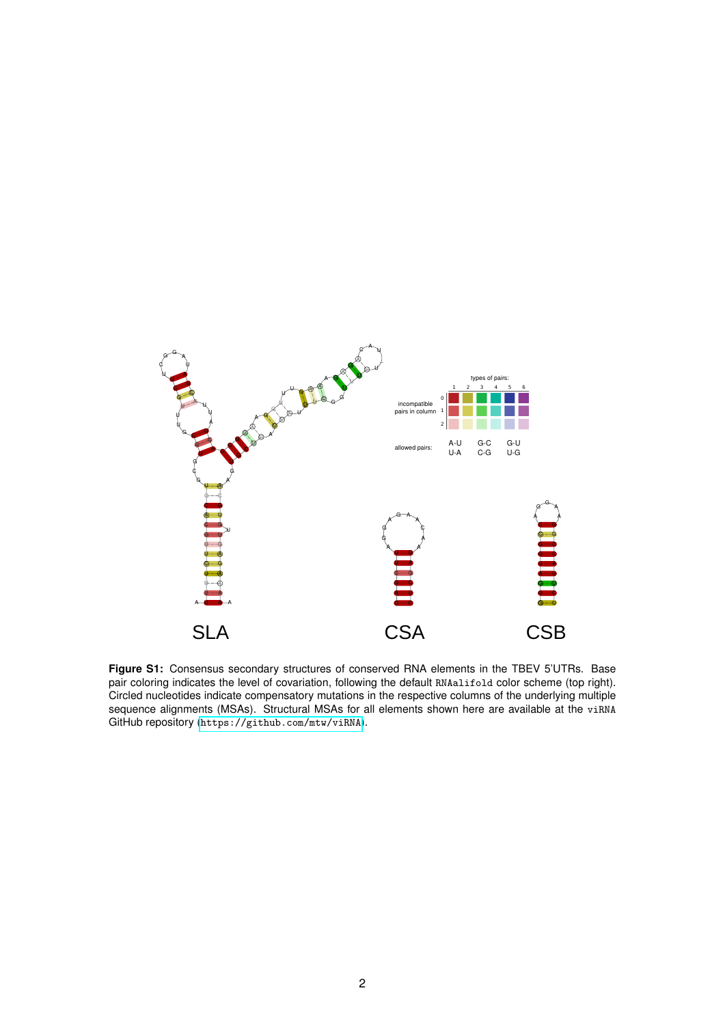<span id="page-1-0"></span>

**Figure S1:** Consensus secondary structures of conserved RNA elements in the TBEV 5'UTRs. Base pair coloring indicates the level of covariation, following the default RNAalifold color scheme (top right). Circled nucleotides indicate compensatory mutations in the respective columns of the underlying multiple sequence alignments (MSAs). Structural MSAs for all elements shown here are available at the viRNA GitHub repository (<https://github.com/mtw/viRNA>).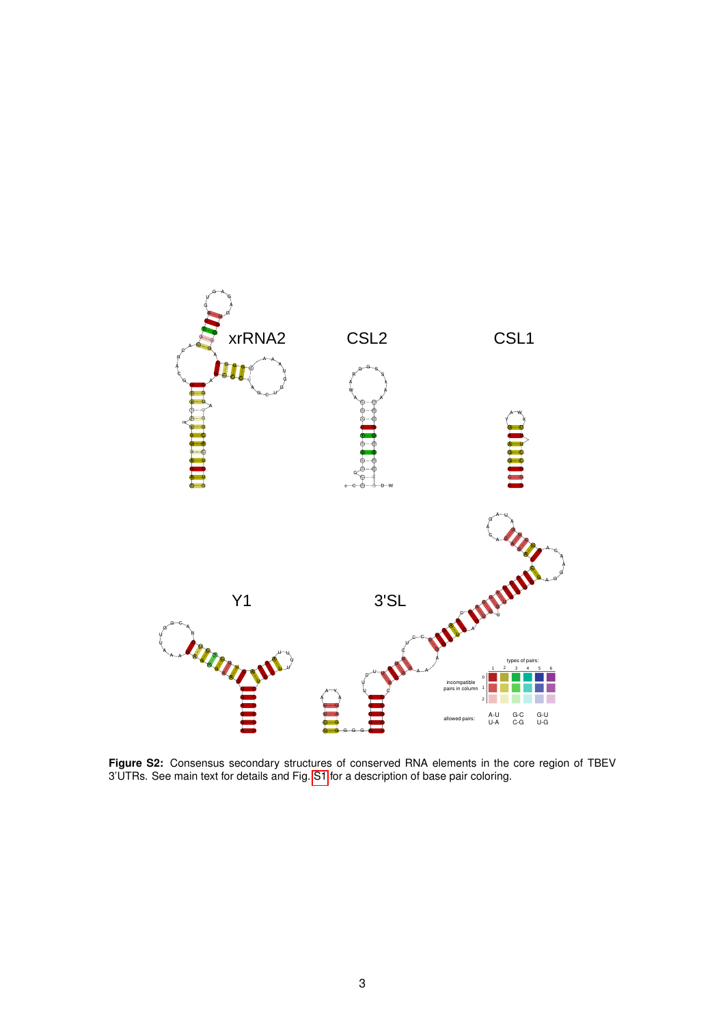

**Figure S2:** Consensus secondary structures of conserved RNA elements in the core region of TBEV 3'UTRs. See main text for details and Fig. [S1](#page-1-0) for a description of base pair coloring.